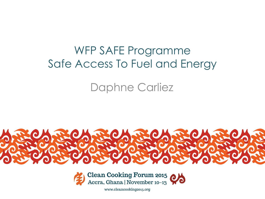# WFP SAFE Programme Safe Access To Fuel and Energy

## Daphne Carliez





www.cleancooking2015.org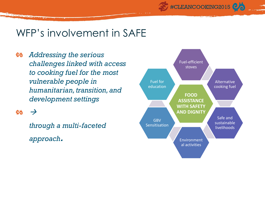#### WFP's involvement in SAFE

**ey** *Addressing the serious challenges linked with access to cooking fuel for the most vulnerable people in humanitarian, transition, and development settings* 

#### ex  $\rightarrow$

Barren a Soon

*through a multi-faceted approach.*



#CLEANCOOKING2015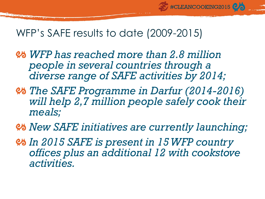### WFP's SAFE results to date (2009-2015)

- *WFP has reached more than 2.8 million people in several countries through a diverse range of SAFE activities by 2014;*
- *The SAFE Programme in Darfur (2014-2016) will help 2,7 million people safely cook their meals;*

#CLEANCOOKING2015

- *New SAFE initiatives are currently launching;*
- *In 2015 SAFE is present in 15 WFP country offices plus an additional 12 with cookstove activities.*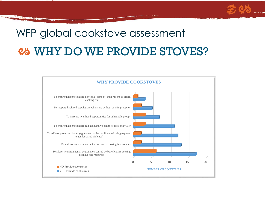# WHY DO WE PROVIDE STOVES? WFP global cookstove assessment

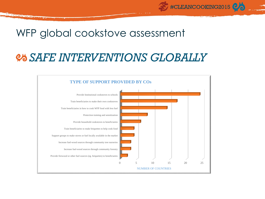### WFP global cookstove assessment

**Report Follows** 

## *SAFE INTERVENTIONS GLOBALLY*

#CLEANCOOKING2015

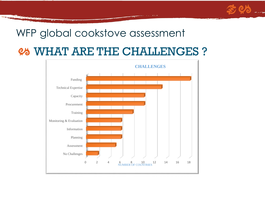#### WFP global cookstove assessment

## WHAT ARE THE CHALLENGES ?

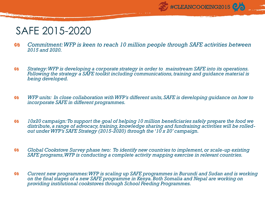

### SAFE 2015-2020

**All District Company** 

- **es** *Commitment: WFP is keen to reach 10 million people through SAFE activities between 2015 and 2020.*
- *Strategy: WFP is developing a corporate strategy in order to mainstream SAFE into its operations.*  ಲನ *Following the strategy a SAFE toolkit including communications, training and guidance material is being developed.*
- *WFP units: In close collaboration with WFP's different units, SAFE is developing guidance on how to*  **es** *incorporate SAFE in different programmes.*
- *10x20 campaign: To support the goal of helping 10 million beneficiaries safely prepare the food we*  **es** *distribute, a range of advocacy, training, knowledge sharing and fundraising activities will be rolledout under WFP's SAFE Strategy (2015-2020) through the '10 x 20' campaign.*
- **es** *Global Cookstove Survey phase two: To identify new countries to implement, or scale-up existing SAFE programs, WFP is conducting a complete activity mapping exercise in relevant countries.*
- *Current new programmes: WFP is scaling up SAFE programmes in Burundi and Sudan and is working*  ಲನ *on the final stages of a new SAFE programme in Kenya. Both Somalia and Nepal are working on providing institutional cookstoves through School Feeding Programmes.*